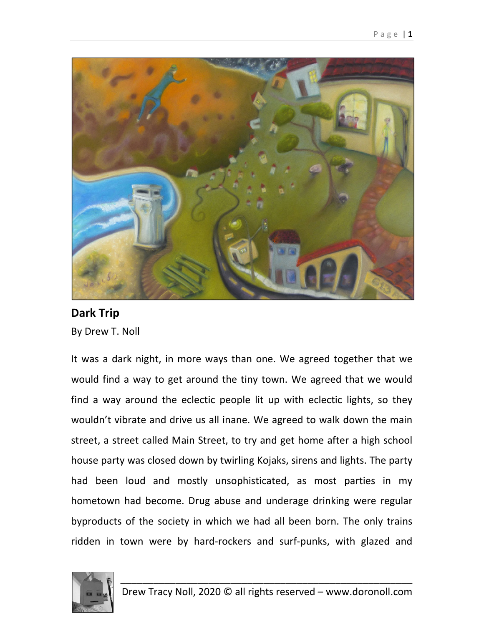

## **Dark Trip** By Drew T. Noll

It was a dark night, in more ways than one. We agreed together that we would find a way to get around the tiny town. We agreed that we would find a way around the eclectic people lit up with eclectic lights, so they wouldn't vibrate and drive us all inane. We agreed to walk down the main street, a street called Main Street, to try and get home after a high school house party was closed down by twirling Kojaks, sirens and lights. The party had been loud and mostly unsophisticated, as most parties in my hometown had become. Drug abuse and underage drinking were regular byproducts of the society in which we had all been born. The only trains ridden in town were by hard‐rockers and surf‐punks, with glazed and

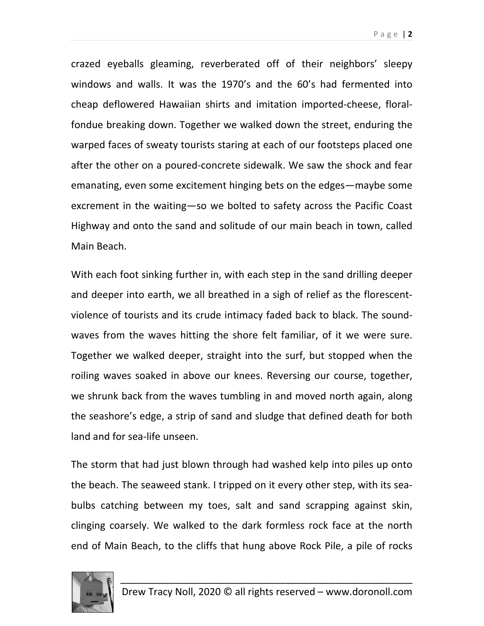Page | **2**

crazed eyeballs gleaming, reverberated off of their neighbors' sleepy windows and walls. It was the 1970's and the 60's had fermented into cheap deflowered Hawaiian shirts and imitation imported‐cheese, floral‐ fondue breaking down. Together we walked down the street, enduring the warped faces of sweaty tourists staring at each of our footsteps placed one after the other on a poured‐concrete sidewalk. We saw the shock and fear emanating, even some excitement hinging bets on the edges—maybe some excrement in the waiting—so we bolted to safety across the Pacific Coast Highway and onto the sand and solitude of our main beach in town, called Main Beach.

With each foot sinking further in, with each step in the sand drilling deeper and deeper into earth, we all breathed in a sigh of relief as the florescent‐ violence of tourists and its crude intimacy faded back to black. The sound‐ waves from the waves hitting the shore felt familiar, of it we were sure. Together we walked deeper, straight into the surf, but stopped when the roiling waves soaked in above our knees. Reversing our course, together, we shrunk back from the waves tumbling in and moved north again, along the seashore's edge, a strip of sand and sludge that defined death for both land and for sea‐life unseen.

The storm that had just blown through had washed kelp into piles up onto the beach. The seaweed stank. I tripped on it every other step, with its sea‐ bulbs catching between my toes, salt and sand scrapping against skin, clinging coarsely. We walked to the dark formless rock face at the north end of Main Beach, to the cliffs that hung above Rock Pile, a pile of rocks

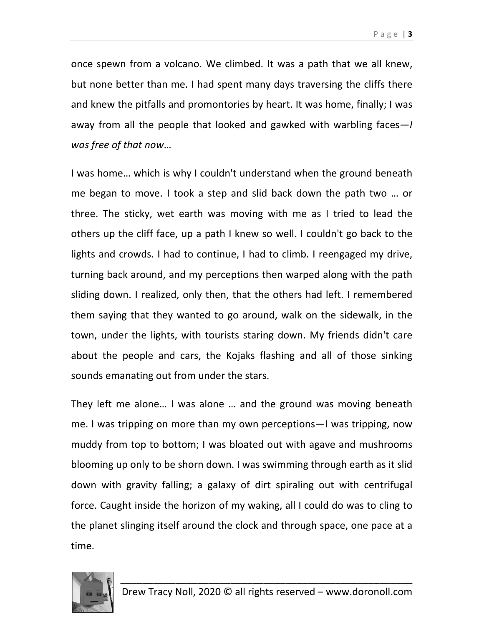once spewn from a volcano. We climbed. It was a path that we all knew, but none better than me. I had spent many days traversing the cliffs there and knew the pitfalls and promontories by heart. It was home, finally; I was away from all the people that looked and gawked with warbling faces—*I was free of that now*…

I was home… which is why I couldn't understand when the ground beneath me began to move. I took a step and slid back down the path two … or three. The sticky, wet earth was moving with me as I tried to lead the others up the cliff face, up a path I knew so well. I couldn't go back to the lights and crowds. I had to continue, I had to climb. I reengaged my drive, turning back around, and my perceptions then warped along with the path sliding down. I realized, only then, that the others had left. I remembered them saying that they wanted to go around, walk on the sidewalk, in the town, under the lights, with tourists staring down. My friends didn't care about the people and cars, the Kojaks flashing and all of those sinking sounds emanating out from under the stars.

They left me alone… I was alone … and the ground was moving beneath me. I was tripping on more than my own perceptions—I was tripping, now muddy from top to bottom; I was bloated out with agave and mushrooms blooming up only to be shorn down. I was swimming through earth as it slid down with gravity falling; a galaxy of dirt spiraling out with centrifugal force. Caught inside the horizon of my waking, all I could do was to cling to the planet slinging itself around the clock and through space, one pace at a time.

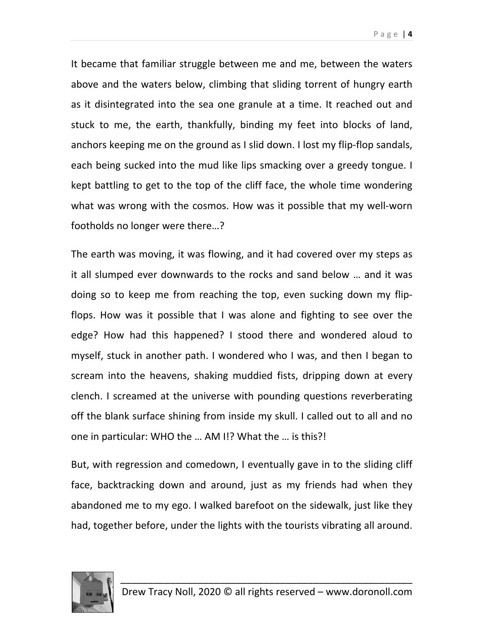It became that familiar struggle between me and me, between the waters above and the waters below, climbing that sliding torrent of hungry earth as it disintegrated into the sea one granule at a time. It reached out and stuck to me, the earth, thankfully, binding my feet into blocks of land, anchors keeping me on the ground as I slid down. I lost my flip‐flop sandals, each being sucked into the mud like lips smacking over a greedy tongue. I kept battling to get to the top of the cliff face, the whole time wondering what was wrong with the cosmos. How was it possible that my well-worn footholds no longer were there…?

The earth was moving, it was flowing, and it had covered over my steps as it all slumped ever downwards to the rocks and sand below … and it was doing so to keep me from reaching the top, even sucking down my flip‐ flops. How was it possible that I was alone and fighting to see over the edge? How had this happened? I stood there and wondered aloud to myself, stuck in another path. I wondered who I was, and then I began to scream into the heavens, shaking muddied fists, dripping down at every clench. I screamed at the universe with pounding questions reverberating off the blank surface shining from inside my skull. I called out to all and no one in particular: WHO the … AM I!? What the … is this?!

But, with regression and comedown, I eventually gave in to the sliding cliff face, backtracking down and around, just as my friends had when they abandoned me to my ego. I walked barefoot on the sidewalk, just like they had, together before, under the lights with the tourists vibrating all around.